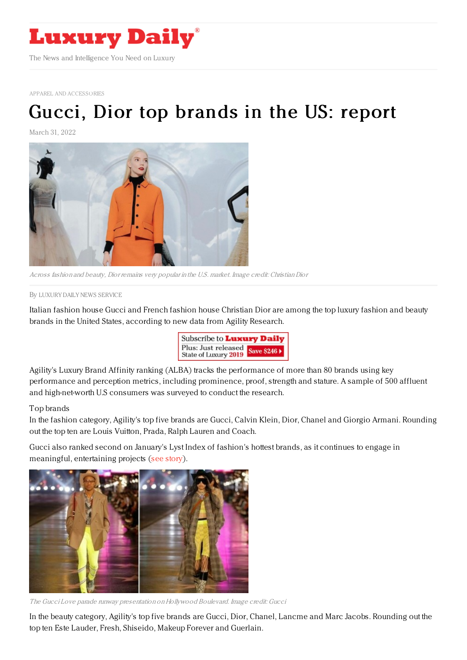

APPAREL AND [ACCESSORIES](https://www.luxurydaily.com/category/sectors/apparel-and-accessories/)

## Gucci, Dior top [brands](https://www.luxurydaily.com/?p=347888) in the US: report

March 31, 2022



Across fashion and beauty, Dior remains very popular in the U.S. market. Image credit: ChristianDior

By LUXURY DAILY NEWS [SERVICE](file:///author/luxury-daily-news-service)

Italian fashion house Gucci and French fashion house Christian Dior are among the top luxury fashion and beauty brands in the United States, according to new data from Agility Research.



Agility's Luxury Brand Affinity ranking (ALBA) tracks the performance of more than 80 brands using key performance and perception metrics, including prominence, proof, strength and stature. A sample of 500 affluent and high-net-worth U.S consumers was surveyed to conduct the research.

## Top brands

In the fashion category, Agility's top five brands are Gucci, Calvin Klein, Dior, Chanel and Giorgio Armani. Rounding out the top ten are Louis Vuitton, Prada, Ralph Lauren and Coach.

Gucci also ranked second on January's Lyst Index of fashion's hottest brands, as it continues to engage in meaningful, entertaining projects (see [story](https://www.luxurydaily.com/lyst-index-q4-2021/)).



The Gucci Love parade runway presentation on Hollywood Boulevard. Image credit: Gucci

In the beauty category, Agility's top five brands are Gucci, Dior, Chanel, Lancme and Marc Jacobs. Rounding out the top ten Este Lauder, Fresh, Shiseido, Makeup Forever and Guerlain.